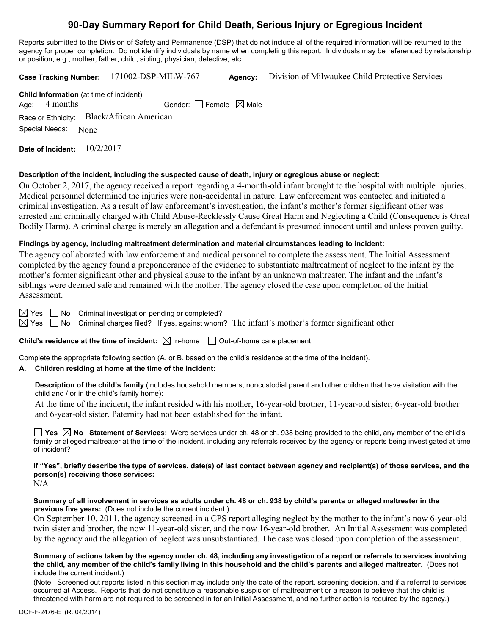# **90-Day Summary Report for Child Death, Serious Injury or Egregious Incident**

Reports submitted to the Division of Safety and Permanence (DSP) that do not include all of the required information will be returned to the agency for proper completion. Do not identify individuals by name when completing this report. Individuals may be referenced by relationship or position; e.g., mother, father, child, sibling, physician, detective, etc.

|                                                |                                                                            | Case Tracking Number: 171002-DSP-MILW-767 | Agency: | Division of Milwaukee Child Protective Services |
|------------------------------------------------|----------------------------------------------------------------------------|-------------------------------------------|---------|-------------------------------------------------|
| <b>Child Information</b> (at time of incident) |                                                                            |                                           |         |                                                 |
| Age: $4$ months                                |                                                                            | Gender: $ $ Female $\boxtimes$ Male       |         |                                                 |
|                                                |                                                                            | Race or Ethnicity: Black/African American |         |                                                 |
| Special Needs: None                            |                                                                            |                                           |         |                                                 |
|                                                | $\overline{1}$ $\overline{2}$ $\overline{3}$ $\overline{4}$ $\overline{2}$ |                                           |         |                                                 |

**Date of Incident:** 10/2/2017

#### **Description of the incident, including the suspected cause of death, injury or egregious abuse or neglect:**

On October 2, 2017, the agency received a report regarding a 4-month-old infant brought to the hospital with multiple injuries. Medical personnel determined the injuries were non-accidental in nature. Law enforcement was contacted and initiated a criminal investigation. As a result of law enforcement's investigation, the infant's mother's former significant other was arrested and criminally charged with Child Abuse-Recklessly Cause Great Harm and Neglecting a Child (Consequence is Great Bodily Harm). A criminal charge is merely an allegation and a defendant is presumed innocent until and unless proven guilty.

### **Findings by agency, including maltreatment determination and material circumstances leading to incident:**

The agency collaborated with law enforcement and medical personnel to complete the assessment. The Initial Assessment completed by the agency found a preponderance of the evidence to substantiate maltreatment of neglect to the infant by the mother's former significant other and physical abuse to the infant by an unknown maltreater. The infant and the infant's siblings were deemed safe and remained with the mother. The agency closed the case upon completion of the Initial Assessment.

 $\boxtimes$  Yes  $\Box$  No Criminal investigation pending or completed?

 $\boxtimes$  Yes  $\Box$  No Criminal charges filed? If yes, against whom? The infant's mother's former significant other

**Child's residence at the time of incident:**  $\boxtimes$  In-home  $\Box$  Out-of-home care placement

Complete the appropriate following section (A. or B. based on the child's residence at the time of the incident).

### **A. Children residing at home at the time of the incident:**

**Description of the child's family** (includes household members, noncustodial parent and other children that have visitation with the child and / or in the child's family home):

At the time of the incident, the infant resided with his mother, 16-year-old brother, 11-year-old sister, 6-year-old brother and 6-year-old sister. Paternity had not been established for the infant.

**Yes No Statement of Services:** Were services under ch. 48 or ch. 938 being provided to the child, any member of the child's family or alleged maltreater at the time of the incident, including any referrals received by the agency or reports being investigated at time of incident?

**If "Yes", briefly describe the type of services, date(s) of last contact between agency and recipient(s) of those services, and the person(s) receiving those services:**

N/A

#### **Summary of all involvement in services as adults under ch. 48 or ch. 938 by child's parents or alleged maltreater in the previous five years:** (Does not include the current incident.)

On September 10, 2011, the agency screened-in a CPS report alleging neglect by the mother to the infant's now 6-year-old twin sister and brother, the now 11-year-old sister, and the now 16-year-old brother. An Initial Assessment was completed by the agency and the allegation of neglect was unsubstantiated. The case was closed upon completion of the assessment.

#### **Summary of actions taken by the agency under ch. 48, including any investigation of a report or referrals to services involving the child, any member of the child's family living in this household and the child's parents and alleged maltreater.** (Does not include the current incident.)

(Note: Screened out reports listed in this section may include only the date of the report, screening decision, and if a referral to services occurred at Access. Reports that do not constitute a reasonable suspicion of maltreatment or a reason to believe that the child is threatened with harm are not required to be screened in for an Initial Assessment, and no further action is required by the agency.)